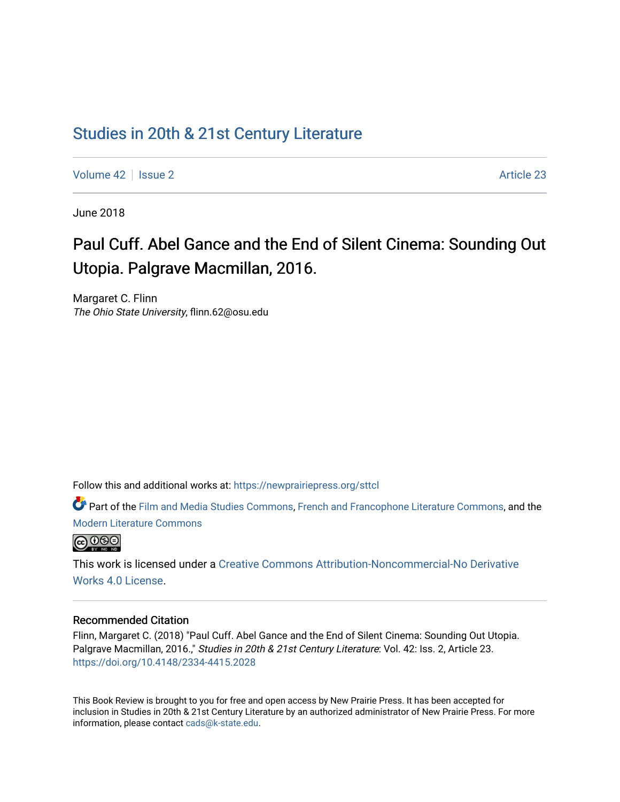# [Studies in 20th & 21st Century Literature](https://newprairiepress.org/sttcl)

[Volume 42](https://newprairiepress.org/sttcl/vol42) | [Issue 2](https://newprairiepress.org/sttcl/vol42/iss2) Article 23

June 2018

# Paul Cuff. Abel Gance and the End of Silent Cinema: Sounding Out Utopia. Palgrave Macmillan, 2016.

Margaret C. Flinn The Ohio State University, flinn.62@osu.edu

Follow this and additional works at: [https://newprairiepress.org/sttcl](https://newprairiepress.org/sttcl?utm_source=newprairiepress.org%2Fsttcl%2Fvol42%2Fiss2%2F23&utm_medium=PDF&utm_campaign=PDFCoverPages) 

Part of the [Film and Media Studies Commons,](http://network.bepress.com/hgg/discipline/563?utm_source=newprairiepress.org%2Fsttcl%2Fvol42%2Fiss2%2F23&utm_medium=PDF&utm_campaign=PDFCoverPages) [French and Francophone Literature Commons,](http://network.bepress.com/hgg/discipline/465?utm_source=newprairiepress.org%2Fsttcl%2Fvol42%2Fiss2%2F23&utm_medium=PDF&utm_campaign=PDFCoverPages) and the [Modern Literature Commons](http://network.bepress.com/hgg/discipline/1050?utm_source=newprairiepress.org%2Fsttcl%2Fvol42%2Fiss2%2F23&utm_medium=PDF&utm_campaign=PDFCoverPages) 



This work is licensed under a [Creative Commons Attribution-Noncommercial-No Derivative](https://creativecommons.org/licenses/by-nc-nd/4.0/)  [Works 4.0 License](https://creativecommons.org/licenses/by-nc-nd/4.0/).

#### Recommended Citation

Flinn, Margaret C. (2018) "Paul Cuff. Abel Gance and the End of Silent Cinema: Sounding Out Utopia. Palgrave Macmillan, 2016.," Studies in 20th & 21st Century Literature: Vol. 42: Iss. 2, Article 23. <https://doi.org/10.4148/2334-4415.2028>

This Book Review is brought to you for free and open access by New Prairie Press. It has been accepted for inclusion in Studies in 20th & 21st Century Literature by an authorized administrator of New Prairie Press. For more information, please contact [cads@k-state.edu](mailto:cads@k-state.edu).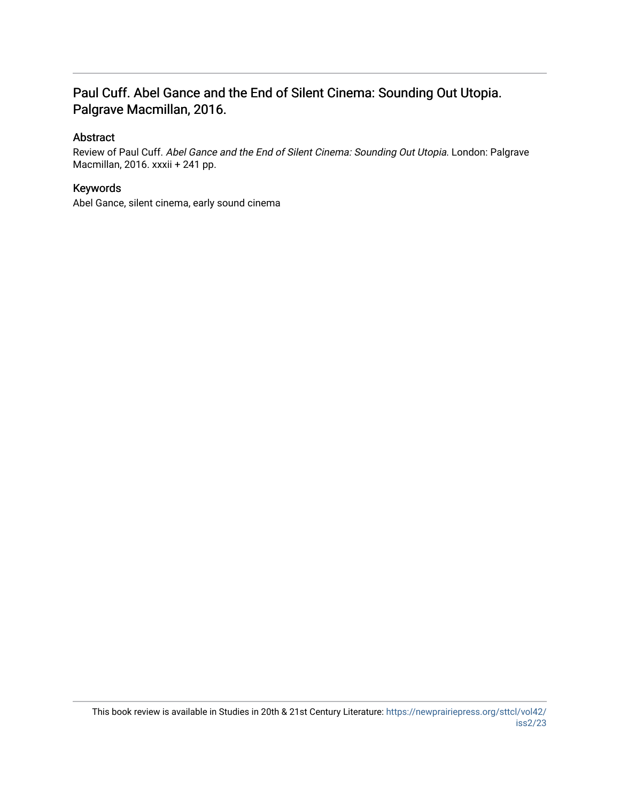## Paul Cuff. Abel Gance and the End of Silent Cinema: Sounding Out Utopia. Palgrave Macmillan, 2016.

#### Abstract

Review of Paul Cuff. Abel Gance and the End of Silent Cinema: Sounding Out Utopia. London: Palgrave Macmillan, 2016. xxxii + 241 pp.

### Keywords

Abel Gance, silent cinema, early sound cinema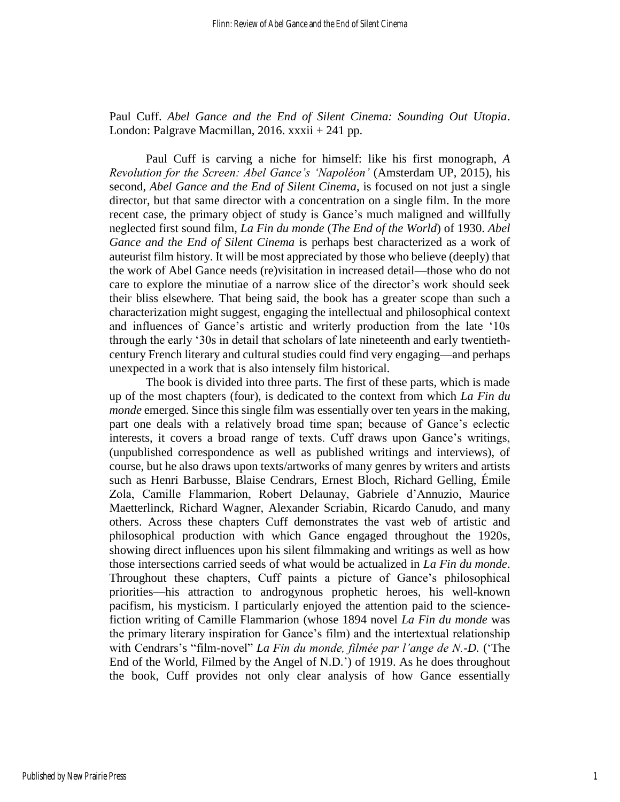Paul Cuff. *Abel Gance and the End of Silent Cinema: Sounding Out Utopia*. London: Palgrave Macmillan, 2016. xxxii + 241 pp.

Paul Cuff is carving a niche for himself: like his first monograph, *A Revolution for the Screen: Abel Gance's 'Napoléon'* (Amsterdam UP, 2015), his second, *Abel Gance and the End of Silent Cinema*, is focused on not just a single director, but that same director with a concentration on a single film. In the more recent case, the primary object of study is Gance's much maligned and willfully neglected first sound film, *La Fin du monde* (*The End of the World*) of 1930. *Abel Gance and the End of Silent Cinema* is perhaps best characterized as a work of auteurist film history. It will be most appreciated by those who believe (deeply) that the work of Abel Gance needs (re)visitation in increased detail—those who do not care to explore the minutiae of a narrow slice of the director's work should seek their bliss elsewhere. That being said, the book has a greater scope than such a characterization might suggest, engaging the intellectual and philosophical context and influences of Gance's artistic and writerly production from the late '10s through the early '30s in detail that scholars of late nineteenth and early twentiethcentury French literary and cultural studies could find very engaging—and perhaps unexpected in a work that is also intensely film historical.

The book is divided into three parts. The first of these parts, which is made up of the most chapters (four), is dedicated to the context from which *La Fin du monde* emerged. Since this single film was essentially over ten years in the making, part one deals with a relatively broad time span; because of Gance's eclectic interests, it covers a broad range of texts. Cuff draws upon Gance's writings, (unpublished correspondence as well as published writings and interviews), of course, but he also draws upon texts/artworks of many genres by writers and artists such as Henri Barbusse, Blaise Cendrars, Ernest Bloch, Richard Gelling, Émile Zola, Camille Flammarion, Robert Delaunay, Gabriele d'Annuzio, Maurice Maetterlinck, Richard Wagner, Alexander Scriabin, Ricardo Canudo, and many others. Across these chapters Cuff demonstrates the vast web of artistic and philosophical production with which Gance engaged throughout the 1920s, showing direct influences upon his silent filmmaking and writings as well as how those intersections carried seeds of what would be actualized in *La Fin du monde*. Throughout these chapters, Cuff paints a picture of Gance's philosophical priorities—his attraction to androgynous prophetic heroes, his well-known pacifism, his mysticism. I particularly enjoyed the attention paid to the sciencefiction writing of Camille Flammarion (whose 1894 novel *La Fin du monde* was the primary literary inspiration for Gance's film) and the intertextual relationship with Cendrars's "film-novel" *La Fin du monde, filmée par l'ange de N.-D.* ('The End of the World, Filmed by the Angel of N.D.') of 1919. As he does throughout the book, Cuff provides not only clear analysis of how Gance essentially